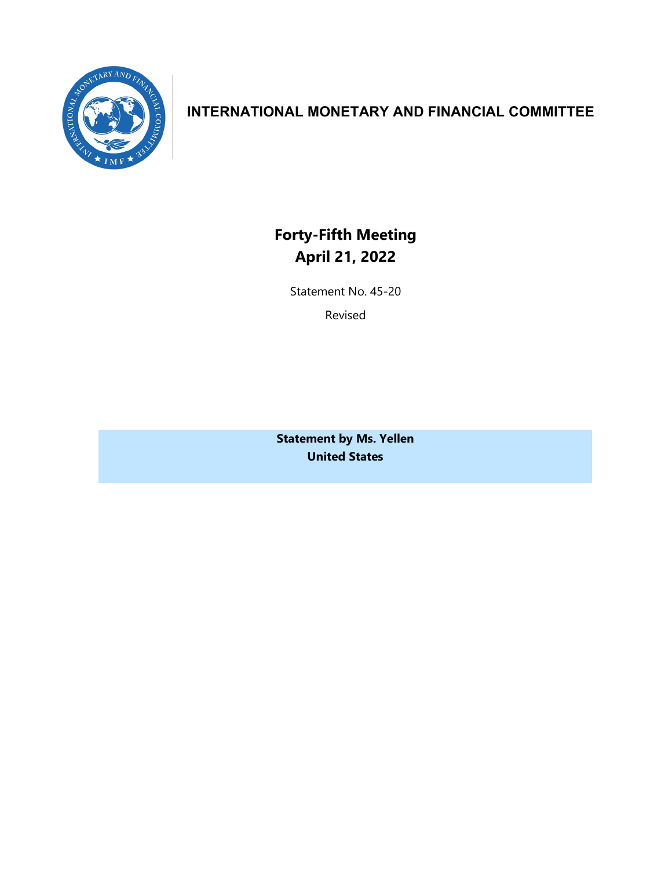

## **INTERNATIONAL MONETARY AND FINANCIAL COMMITTEE**

**Forty-Fifth Meeting April 21, 2022**

Statement No. 45-20

Revised

**Statement by Ms. Yellen United States**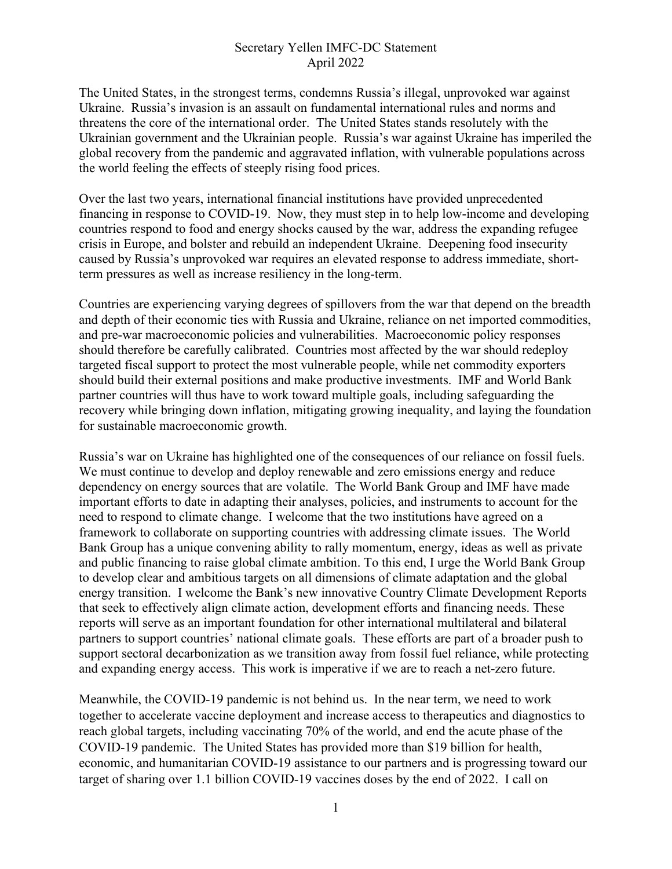## Secretary Yellen IMFC-DC Statement April 2022

The United States, in the strongest terms, condemns Russia's illegal, unprovoked war against Ukraine. Russia's invasion is an assault on fundamental international rules and norms and threatens the core of the international order. The United States stands resolutely with the Ukrainian government and the Ukrainian people. Russia's war against Ukraine has imperiled the global recovery from the pandemic and aggravated inflation, with vulnerable populations across the world feeling the effects of steeply rising food prices.

Over the last two years, international financial institutions have provided unprecedented financing in response to COVID-19. Now, they must step in to help low-income and developing countries respond to food and energy shocks caused by the war, address the expanding refugee crisis in Europe, and bolster and rebuild an independent Ukraine. Deepening food insecurity caused by Russia's unprovoked war requires an elevated response to address immediate, shortterm pressures as well as increase resiliency in the long-term.

Countries are experiencing varying degrees of spillovers from the war that depend on the breadth and depth of their economic ties with Russia and Ukraine, reliance on net imported commodities, and pre-war macroeconomic policies and vulnerabilities. Macroeconomic policy responses should therefore be carefully calibrated. Countries most affected by the war should redeploy targeted fiscal support to protect the most vulnerable people, while net commodity exporters should build their external positions and make productive investments. IMF and World Bank partner countries will thus have to work toward multiple goals, including safeguarding the recovery while bringing down inflation, mitigating growing inequality, and laying the foundation for sustainable macroeconomic growth.

Russia's war on Ukraine has highlighted one of the consequences of our reliance on fossil fuels. We must continue to develop and deploy renewable and zero emissions energy and reduce dependency on energy sources that are volatile. The World Bank Group and IMF have made important efforts to date in adapting their analyses, policies, and instruments to account for the need to respond to climate change. I welcome that the two institutions have agreed on a framework to collaborate on supporting countries with addressing climate issues. The World Bank Group has a unique convening ability to rally momentum, energy, ideas as well as private and public financing to raise global climate ambition. To this end, I urge the World Bank Group to develop clear and ambitious targets on all dimensions of climate adaptation and the global energy transition. I welcome the Bank's new innovative Country Climate Development Reports that seek to effectively align climate action, development efforts and financing needs. These reports will serve as an important foundation for other international multilateral and bilateral partners to support countries' national climate goals. These efforts are part of a broader push to support sectoral decarbonization as we transition away from fossil fuel reliance, while protecting and expanding energy access. This work is imperative if we are to reach a net-zero future.

Meanwhile, the COVID-19 pandemic is not behind us. In the near term, we need to work together to accelerate vaccine deployment and increase access to therapeutics and diagnostics to reach global targets, including vaccinating 70% of the world, and end the acute phase of the COVID-19 pandemic. The United States has provided more than \$19 billion for health, economic, and humanitarian COVID-19 assistance to our partners and is progressing toward our target of sharing over 1.1 billion COVID-19 vaccines doses by the end of 2022. I call on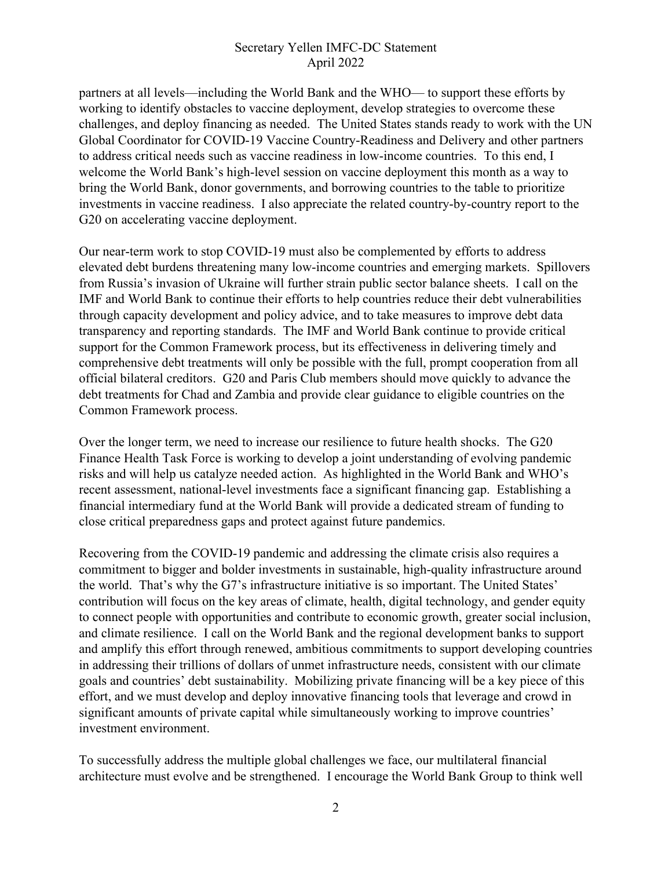## Secretary Yellen IMFC-DC Statement April 2022

partners at all levels—including the World Bank and the WHO— to support these efforts by working to identify obstacles to vaccine deployment, develop strategies to overcome these challenges, and deploy financing as needed. The United States stands ready to work with the UN Global Coordinator for COVID-19 Vaccine Country-Readiness and Delivery and other partners to address critical needs such as vaccine readiness in low-income countries. To this end, I welcome the World Bank's high-level session on vaccine deployment this month as a way to bring the World Bank, donor governments, and borrowing countries to the table to prioritize investments in vaccine readiness. I also appreciate the related country-by-country report to the G20 on accelerating vaccine deployment.

Our near-term work to stop COVID-19 must also be complemented by efforts to address elevated debt burdens threatening many low-income countries and emerging markets. Spillovers from Russia's invasion of Ukraine will further strain public sector balance sheets. I call on the IMF and World Bank to continue their efforts to help countries reduce their debt vulnerabilities through capacity development and policy advice, and to take measures to improve debt data transparency and reporting standards. The IMF and World Bank continue to provide critical support for the Common Framework process, but its effectiveness in delivering timely and comprehensive debt treatments will only be possible with the full, prompt cooperation from all official bilateral creditors. G20 and Paris Club members should move quickly to advance the debt treatments for Chad and Zambia and provide clear guidance to eligible countries on the Common Framework process.

Over the longer term, we need to increase our resilience to future health shocks. The G20 Finance Health Task Force is working to develop a joint understanding of evolving pandemic risks and will help us catalyze needed action. As highlighted in the World Bank and WHO's recent assessment, national-level investments face a significant financing gap. Establishing a financial intermediary fund at the World Bank will provide a dedicated stream of funding to close critical preparedness gaps and protect against future pandemics.

Recovering from the COVID-19 pandemic and addressing the climate crisis also requires a commitment to bigger and bolder investments in sustainable, high-quality infrastructure around the world. That's why the G7's infrastructure initiative is so important. The United States' contribution will focus on the key areas of climate, health, digital technology, and gender equity to connect people with opportunities and contribute to economic growth, greater social inclusion, and climate resilience. I call on the World Bank and the regional development banks to support and amplify this effort through renewed, ambitious commitments to support developing countries in addressing their trillions of dollars of unmet infrastructure needs, consistent with our climate goals and countries' debt sustainability. Mobilizing private financing will be a key piece of this effort, and we must develop and deploy innovative financing tools that leverage and crowd in significant amounts of private capital while simultaneously working to improve countries' investment environment.

To successfully address the multiple global challenges we face, our multilateral financial architecture must evolve and be strengthened. I encourage the World Bank Group to think well